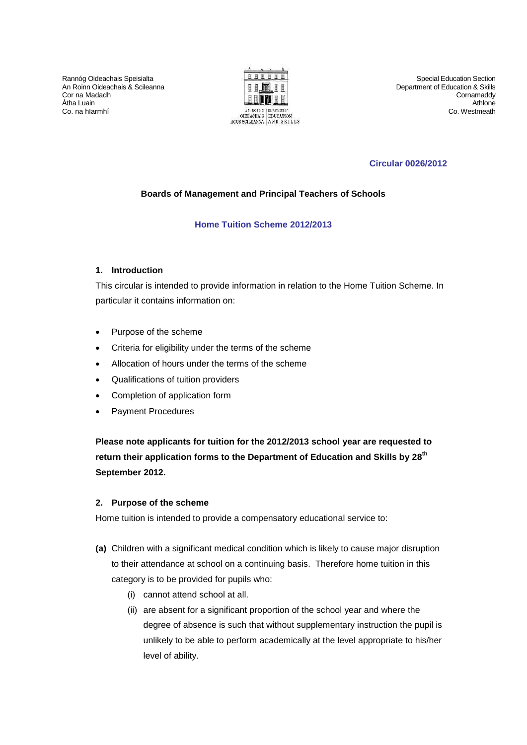Rannóg Oideachais Speisialta An Roinn Oideachais & Scileanna Cor na Madadh Átha Luain Co. na hIarmhí



Special Education Section Department of Education & Skills **Cornamaddy** Athlone Co. Westmeath

# **Circular 0026/2012**

# **Boards of Management and Principal Teachers of Schools**

# **Home Tuition Scheme 2012/2013**

# **1. Introduction**

This circular is intended to provide information in relation to the Home Tuition Scheme. In particular it contains information on:

- Purpose of the scheme
- Criteria for eligibility under the terms of the scheme
- Allocation of hours under the terms of the scheme
- Qualifications of tuition providers
- Completion of application form
- Payment Procedures

**Please note applicants for tuition for the 2012/2013 school year are requested to return their application forms to the Department of Education and Skills by 28 th September 2012.** 

### **2. Purpose of the scheme**

Home tuition is intended to provide a compensatory educational service to:

- **(a)** Children with a significant medical condition which is likely to cause major disruption to their attendance at school on a continuing basis. Therefore home tuition in this category is to be provided for pupils who:
	- (i) cannot attend school at all.
	- (ii) are absent for a significant proportion of the school year and where the degree of absence is such that without supplementary instruction the pupil is unlikely to be able to perform academically at the level appropriate to his/her level of ability.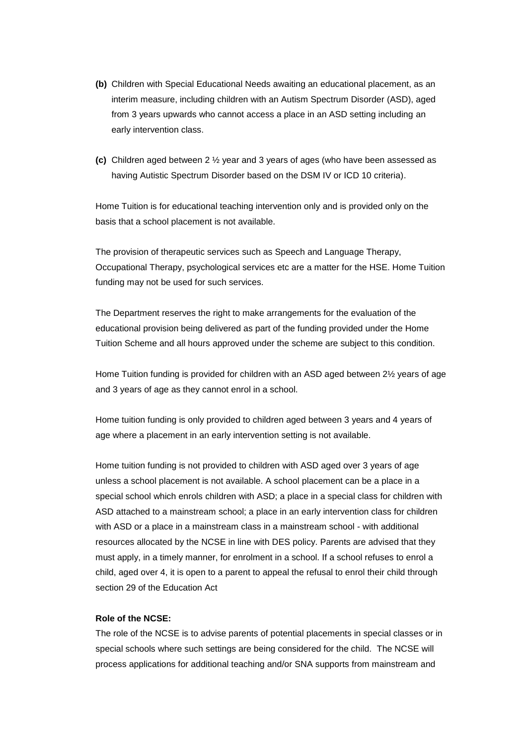- **(b)** Children with Special Educational Needs awaiting an educational placement, as an interim measure, including children with an Autism Spectrum Disorder (ASD), aged from 3 years upwards who cannot access a place in an ASD setting including an early intervention class.
- **(c)** Children aged between 2 ½ year and 3 years of ages (who have been assessed as having Autistic Spectrum Disorder based on the DSM IV or ICD 10 criteria).

Home Tuition is for educational teaching intervention only and is provided only on the basis that a school placement is not available.

The provision of therapeutic services such as Speech and Language Therapy, Occupational Therapy, psychological services etc are a matter for the HSE. Home Tuition funding may not be used for such services.

The Department reserves the right to make arrangements for the evaluation of the educational provision being delivered as part of the funding provided under the Home Tuition Scheme and all hours approved under the scheme are subject to this condition.

Home Tuition funding is provided for children with an ASD aged between 2½ years of age and 3 years of age as they cannot enrol in a school.

Home tuition funding is only provided to children aged between 3 years and 4 years of age where a placement in an early intervention setting is not available.

Home tuition funding is not provided to children with ASD aged over 3 years of age unless a school placement is not available. A school placement can be a place in a special school which enrols children with ASD; a place in a special class for children with ASD attached to a mainstream school; a place in an early intervention class for children with ASD or a place in a mainstream class in a mainstream school - with additional resources allocated by the NCSE in line with DES policy. Parents are advised that they must apply, in a timely manner, for enrolment in a school. If a school refuses to enrol a child, aged over 4, it is open to a parent to appeal the refusal to enrol their child through section 29 of the Education Act

### **Role of the NCSE:**

The role of the NCSE is to advise parents of potential placements in special classes or in special schools where such settings are being considered for the child. The NCSE will process applications for additional teaching and/or SNA supports from mainstream and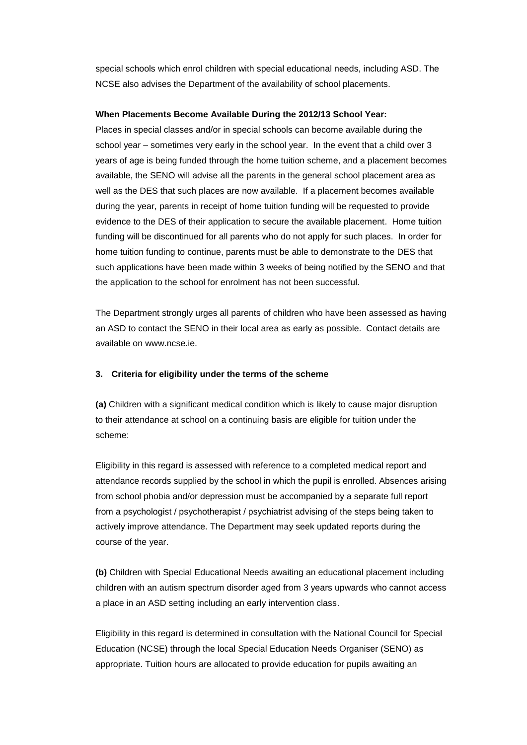special schools which enrol children with special educational needs, including ASD. The NCSE also advises the Department of the availability of school placements.

### **When Placements Become Available During the 2012/13 School Year:**

Places in special classes and/or in special schools can become available during the school year – sometimes very early in the school year. In the event that a child over 3 years of age is being funded through the home tuition scheme, and a placement becomes available, the SENO will advise all the parents in the general school placement area as well as the DES that such places are now available. If a placement becomes available during the year, parents in receipt of home tuition funding will be requested to provide evidence to the DES of their application to secure the available placement. Home tuition funding will be discontinued for all parents who do not apply for such places. In order for home tuition funding to continue, parents must be able to demonstrate to the DES that such applications have been made within 3 weeks of being notified by the SENO and that the application to the school for enrolment has not been successful.

The Department strongly urges all parents of children who have been assessed as having an ASD to contact the SENO in their local area as early as possible. Contact details are available on www.ncse.ie.

### **3. Criteria for eligibility under the terms of the scheme**

**(a)** Children with a significant medical condition which is likely to cause major disruption to their attendance at school on a continuing basis are eligible for tuition under the scheme:

Eligibility in this regard is assessed with reference to a completed medical report and attendance records supplied by the school in which the pupil is enrolled. Absences arising from school phobia and/or depression must be accompanied by a separate full report from a psychologist / psychotherapist / psychiatrist advising of the steps being taken to actively improve attendance. The Department may seek updated reports during the course of the year.

**(b)** Children with Special Educational Needs awaiting an educational placement including children with an autism spectrum disorder aged from 3 years upwards who cannot access a place in an ASD setting including an early intervention class.

Eligibility in this regard is determined in consultation with the National Council for Special Education (NCSE) through the local Special Education Needs Organiser (SENO) as appropriate. Tuition hours are allocated to provide education for pupils awaiting an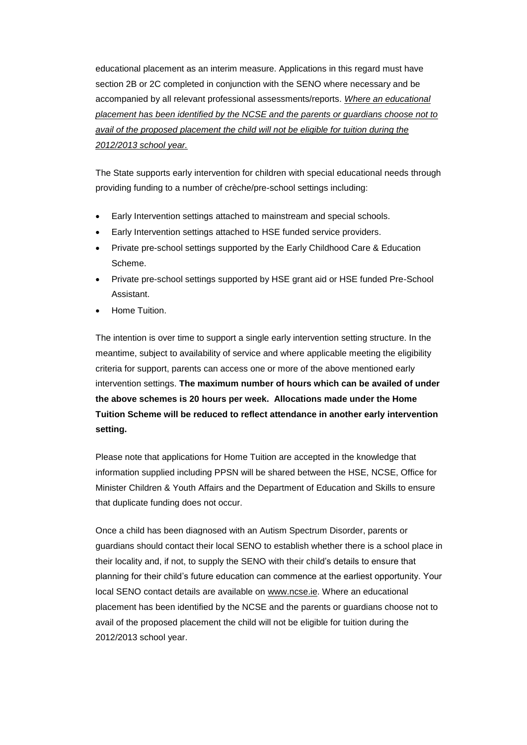educational placement as an interim measure. Applications in this regard must have section 2B or 2C completed in conjunction with the SENO where necessary and be accompanied by all relevant professional assessments/reports. *Where an educational placement has been identified by the NCSE and the parents or guardians choose not to avail of the proposed placement the child will not be eligible for tuition during the 2012/2013 school year.*

The State supports early intervention for children with special educational needs through providing funding to a number of crèche/pre-school settings including:

- Early Intervention settings attached to mainstream and special schools.
- Early Intervention settings attached to HSE funded service providers.
- Private pre-school settings supported by the Early Childhood Care & Education Scheme.
- Private pre-school settings supported by HSE grant aid or HSE funded Pre-School Assistant.
- Home Tuition.

The intention is over time to support a single early intervention setting structure. In the meantime, subject to availability of service and where applicable meeting the eligibility criteria for support, parents can access one or more of the above mentioned early intervention settings. **The maximum number of hours which can be availed of under the above schemes is 20 hours per week. Allocations made under the Home Tuition Scheme will be reduced to reflect attendance in another early intervention setting.**

Please note that applications for Home Tuition are accepted in the knowledge that information supplied including PPSN will be shared between the HSE, NCSE, Office for Minister Children & Youth Affairs and the Department of Education and Skills to ensure that duplicate funding does not occur.

Once a child has been diagnosed with an Autism Spectrum Disorder, parents or guardians should contact their local SENO to establish whether there is a school place in their locality and, if not, to supply the SENO with their child's details to ensure that planning for their child's future education can commence at the earliest opportunity. Your local SENO contact details are available on [www.ncse.ie.](http://www.ncse.ie/) Where an educational placement has been identified by the NCSE and the parents or guardians choose not to avail of the proposed placement the child will not be eligible for tuition during the 2012/2013 school year.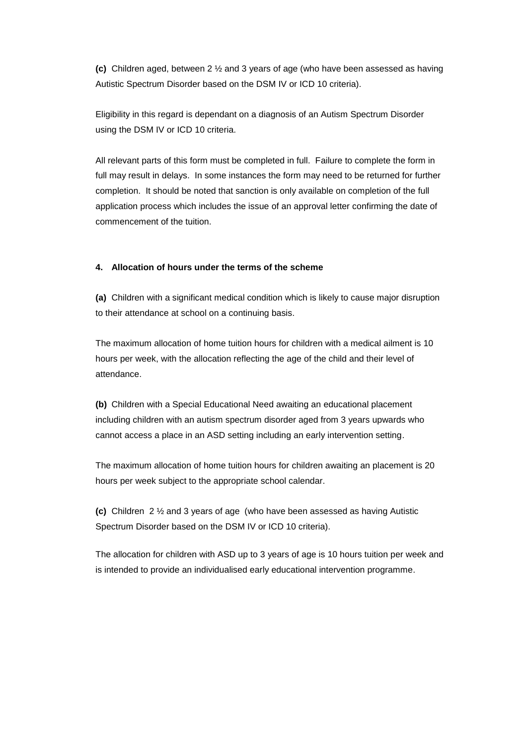**(c)** Children aged, between 2 ½ and 3 years of age (who have been assessed as having Autistic Spectrum Disorder based on the DSM IV or ICD 10 criteria).

Eligibility in this regard is dependant on a diagnosis of an Autism Spectrum Disorder using the DSM IV or ICD 10 criteria.

All relevant parts of this form must be completed in full. Failure to complete the form in full may result in delays. In some instances the form may need to be returned for further completion. It should be noted that sanction is only available on completion of the full application process which includes the issue of an approval letter confirming the date of commencement of the tuition.

## **4. Allocation of hours under the terms of the scheme**

**(a)** Children with a significant medical condition which is likely to cause major disruption to their attendance at school on a continuing basis.

The maximum allocation of home tuition hours for children with a medical ailment is 10 hours per week, with the allocation reflecting the age of the child and their level of attendance.

**(b)** Children with a Special Educational Need awaiting an educational placement including children with an autism spectrum disorder aged from 3 years upwards who cannot access a place in an ASD setting including an early intervention setting.

The maximum allocation of home tuition hours for children awaiting an placement is 20 hours per week subject to the appropriate school calendar.

**(c)** Children 2 ½ and 3 years of age (who have been assessed as having Autistic Spectrum Disorder based on the DSM IV or ICD 10 criteria).

The allocation for children with ASD up to 3 years of age is 10 hours tuition per week and is intended to provide an individualised early educational intervention programme.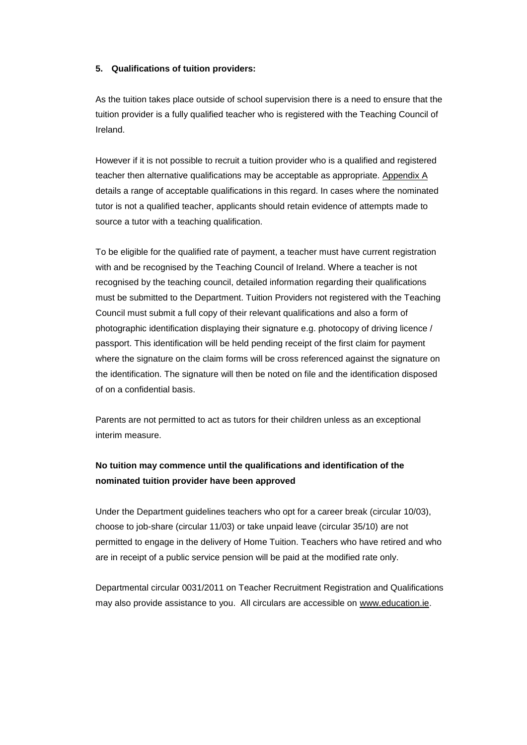#### **5. Qualifications of tuition providers:**

As the tuition takes place outside of school supervision there is a need to ensure that the tuition provider is a fully qualified teacher who is registered with the Teaching Council of Ireland.

However if it is not possible to recruit a tuition provider who is a qualified and registered teacher then alternative qualifications may be acceptable as appropriate. [Appendix A](#page-10-0) details a range of acceptable qualifications in this regard. In cases where the nominated tutor is not a qualified teacher, applicants should retain evidence of attempts made to source a tutor with a teaching qualification.

To be eligible for the qualified rate of payment, a teacher must have current registration with and be recognised by the Teaching Council of Ireland. Where a teacher is not recognised by the teaching council, detailed information regarding their qualifications must be submitted to the Department. Tuition Providers not registered with the Teaching Council must submit a full copy of their relevant qualifications and also a form of photographic identification displaying their signature e.g. photocopy of driving licence / passport. This identification will be held pending receipt of the first claim for payment where the signature on the claim forms will be cross referenced against the signature on the identification. The signature will then be noted on file and the identification disposed of on a confidential basis.

Parents are not permitted to act as tutors for their children unless as an exceptional interim measure.

# **No tuition may commence until the qualifications and identification of the nominated tuition provider have been approved**

Under the Department guidelines teachers who opt for a career break (circular 10/03), choose to job-share (circular 11/03) or take unpaid leave (circular 35/10) are not permitted to engage in the delivery of Home Tuition. Teachers who have retired and who are in receipt of a public service pension will be paid at the modified rate only.

Departmental circular 0031/2011 on Teacher Recruitment Registration and Qualifications may also provide assistance to you. All circulars are accessible on [www.education.ie.](http://www.education.ie/)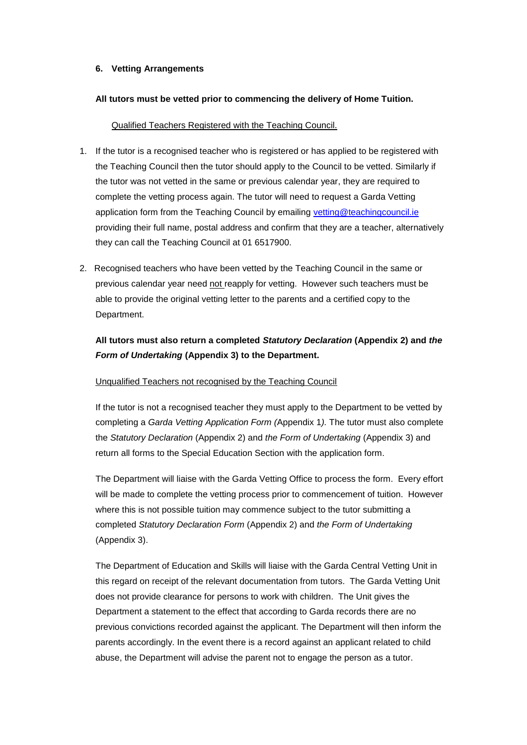### **6. Vetting Arrangements**

#### **All tutors must be vetted prior to commencing the delivery of Home Tuition.**

#### Qualified Teachers Registered with the Teaching Council.

- 1. If the tutor is a recognised teacher who is registered or has applied to be registered with the Teaching Council then the tutor should apply to the Council to be vetted. Similarly if the tutor was not vetted in the same or previous calendar year, they are required to complete the vetting process again. The tutor will need to request a Garda Vetting application form from the Teaching Council by emailing [vetting@teachingcouncil.ie](mailto:vetting@teachingcouncil.ie) providing their full name, postal address and confirm that they are a teacher, alternatively they can call the Teaching Council at 01 6517900.
- 2. Recognised teachers who have been vetted by the Teaching Council in the same or previous calendar year need not reapply for vetting. However such teachers must be able to provide the original vetting letter to the parents and a certified copy to the Department.

# **All tutors must also return a completed** *Statutory Declaration* **(Appendix 2) and** *the Form of Undertaking* **(Appendix 3) to the Department.**

#### Unqualified Teachers not recognised by the Teaching Council

If the tutor is not a recognised teacher they must apply to the Department to be vetted by completing a *Garda Vetting Application Form (*Appendix 1*).* The tutor must also complete the *Statutory Declaration* (Appendix 2) and *the Form of Undertaking* (Appendix 3) and return all forms to the Special Education Section with the application form.

The Department will liaise with the Garda Vetting Office to process the form. Every effort will be made to complete the vetting process prior to commencement of tuition. However where this is not possible tuition may commence subject to the tutor submitting a completed *Statutory Declaration Form* (Appendix 2) and *the Form of Undertaking* (Appendix 3).

The Department of Education and Skills will liaise with the Garda Central Vetting Unit in this regard on receipt of the relevant documentation from tutors. The Garda Vetting Unit does not provide clearance for persons to work with children. The Unit gives the Department a statement to the effect that according to Garda records there are no previous convictions recorded against the applicant. The Department will then inform the parents accordingly. In the event there is a record against an applicant related to child abuse, the Department will advise the parent not to engage the person as a tutor.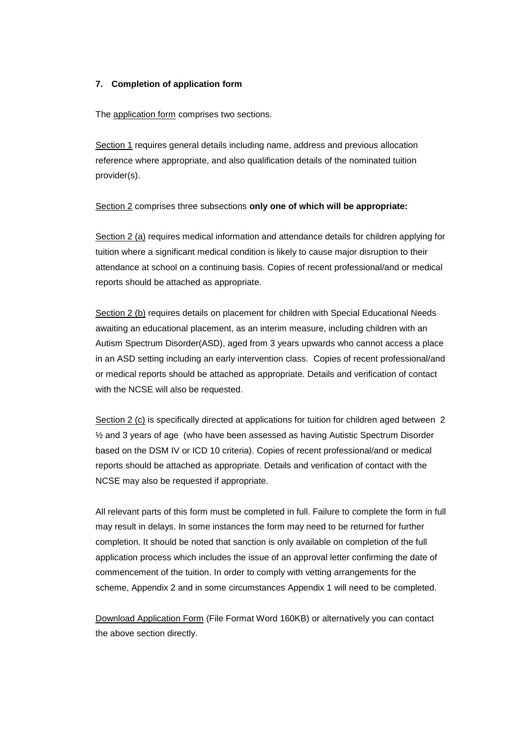### **7. Completion of application form**

The [application form](http://www.education.ie/servlet/blobservlet/sped_appl_home_tuition.doc) comprises two sections.

Section 1 requires general details including name, address and previous allocation reference where appropriate, and also qualification details of the nominated tuition provider(s).

Section 2 comprises three subsections **only one of which will be appropriate:**

Section 2 (a) requires medical information and attendance details for children applying for tuition where a significant medical condition is likely to cause major disruption to their attendance at school on a continuing basis. Copies of recent professional/and or medical reports should be attached as appropriate.

Section 2 (b) requires details on placement for children with Special Educational Needs awaiting an educational placement, as an interim measure, including children with an Autism Spectrum Disorder(ASD), aged from 3 years upwards who cannot access a place in an ASD setting including an early intervention class. Copies of recent professional/and or medical reports should be attached as appropriate. Details and verification of contact with the NCSE will also be requested.

Section 2 (c) is specifically directed at applications for tuition for children aged between 2 ½ and 3 years of age (who have been assessed as having Autistic Spectrum Disorder based on the DSM IV or ICD 10 criteria). Copies of recent professional/and or medical reports should be attached as appropriate. Details and verification of contact with the NCSE may also be requested if appropriate.

All relevant parts of this form must be completed in full. Failure to complete the form in full may result in delays. In some instances the form may need to be returned for further completion. It should be noted that sanction is only available on completion of the full application process which includes the issue of an approval letter confirming the date of commencement of the tuition. In order to comply with vetting arrangements for the scheme, Appendix 2 and in some circumstances Appendix 1 will need to be completed.

[Download Application Form](http://www.education.ie/servlet/blobservlet/sped_appl_home_tuition.doc) (File Format Word 160KB) or alternatively you can contact the above section directly.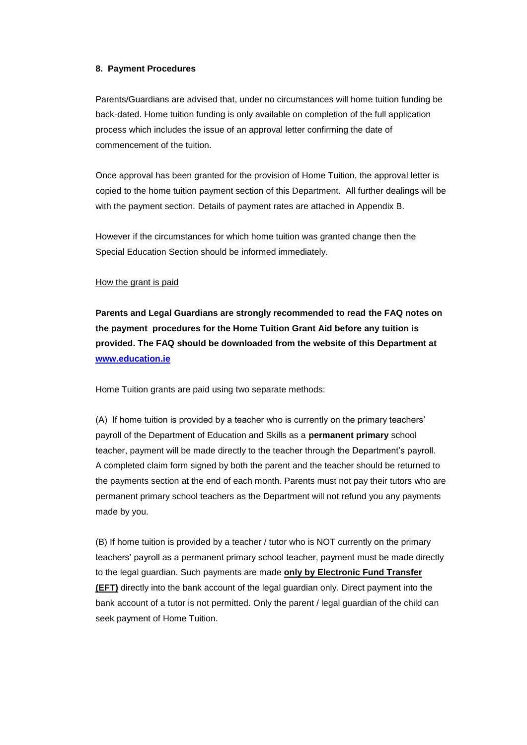#### **8. Payment Procedures**

Parents/Guardians are advised that, under no circumstances will home tuition funding be back-dated. Home tuition funding is only available on completion of the full application process which includes the issue of an approval letter confirming the date of commencement of the tuition.

Once approval has been granted for the provision of Home Tuition, the approval letter is copied to the home tuition payment section of this Department. All further dealings will be with the payment section. Details of payment rates are attached in Appendix B.

However if the circumstances for which home tuition was granted change then the Special Education Section should be informed immediately.

#### How the grant is paid

**Parents and Legal Guardians are strongly recommended to read the FAQ notes on the payment procedures for the Home Tuition Grant Aid before any tuition is provided. The FAQ should be downloaded from the website of this Department at [www.education.ie](http://www.education.ie/)**

Home Tuition grants are paid using two separate methods:

(A) If home tuition is provided by a teacher who is currently on the primary teachers' payroll of the Department of Education and Skills as a **permanent primary** school teacher, payment will be made directly to the teacher through the Department's payroll. A completed claim form signed by both the parent and the teacher should be returned to the payments section at the end of each month. Parents must not pay their tutors who are permanent primary school teachers as the Department will not refund you any payments made by you.

(B) If home tuition is provided by a teacher / tutor who is NOT currently on the primary teachers' payroll as a permanent primary school teacher, payment must be made directly to the legal guardian. Such payments are made **only by Electronic Fund Transfer (EFT)** directly into the bank account of the legal guardian only. Direct payment into the bank account of a tutor is not permitted. Only the parent / legal guardian of the child can seek payment of Home Tuition.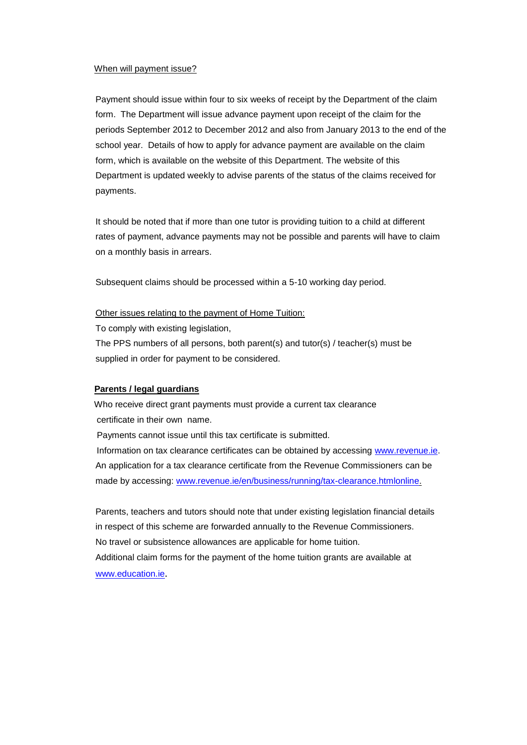#### When will payment issue?

Payment should issue within four to six weeks of receipt by the Department of the claim form. The Department will issue advance payment upon receipt of the claim for the periods September 2012 to December 2012 and also from January 2013 to the end of the school year. Details of how to apply for advance payment are available on the claim form, which is available on the website of this Department. The website of this Department is updated weekly to advise parents of the status of the claims received for payments.

It should be noted that if more than one tutor is providing tuition to a child at different rates of payment, advance payments may not be possible and parents will have to claim on a monthly basis in arrears.

Subsequent claims should be processed within a 5-10 working day period.

#### Other issues relating to the payment of Home Tuition:

To comply with existing legislation,

 The PPS numbers of all persons, both parent(s) and tutor(s) / teacher(s) must be supplied in order for payment to be considered.

#### **Parents / legal guardians**

 Who receive direct grant payments must provide a current tax clearance certificate in their own name.

Payments cannot issue until this tax certificate is submitted.

Information on tax clearance certificates can be obtained by accessing [www.revenue.ie.](http://www.revenue.ie/) An application for a tax clearance certificate from the Revenue Commissioners can be made by accessing: [www.revenue.ie/en/business/running/tax-clearance.htmlonline.](http://www.revenue.ie/en/business/running/tax-clearance.htmlonline)

Parents, teachers and tutors should note that under existing legislation financial details in respect of this scheme are forwarded annually to the Revenue Commissioners. No travel or subsistence allowances are applicable for home tuition. Additional claim forms for the payment of the home tuition grants are available at [www.education.ie](http://www.education.ie/).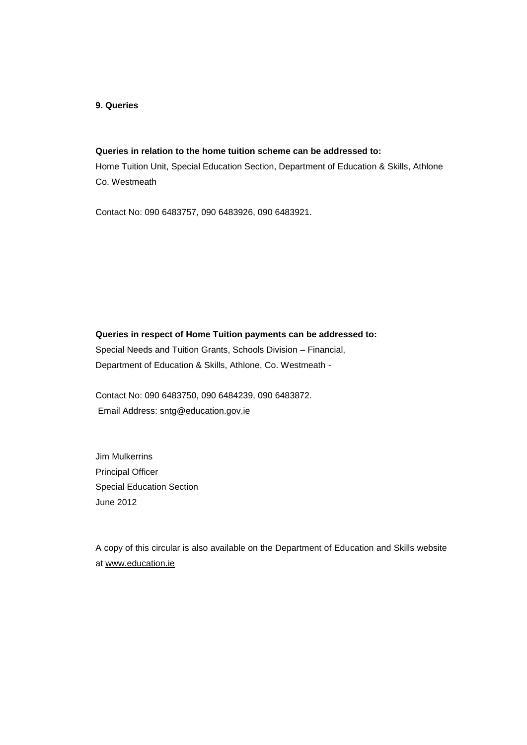#### **9. Queries**

# **Queries in relation to the home tuition scheme can be addressed to:**

Home Tuition Unit, Special Education Section, Department of Education & Skills, Athlone Co. Westmeath

Contact No: 090 6483757, 090 6483926, 090 6483921.

**Queries in respect of Home Tuition payments can be addressed to:** Special Needs and Tuition Grants, Schools Division – Financial, Department of Education & Skills, Athlone, Co. Westmeath -

<span id="page-10-0"></span>Contact No: 090 6483750, 090 6484239, 090 6483872. Email Address: [sntg@education.gov.ie](mailto:sntg@education.gov.ie)

Jim Mulkerrins Principal Officer Special Education Section June 2012

A copy of this circular is also available on the Department of Education and Skills website at [www.education.ie](http://www.education.ie/)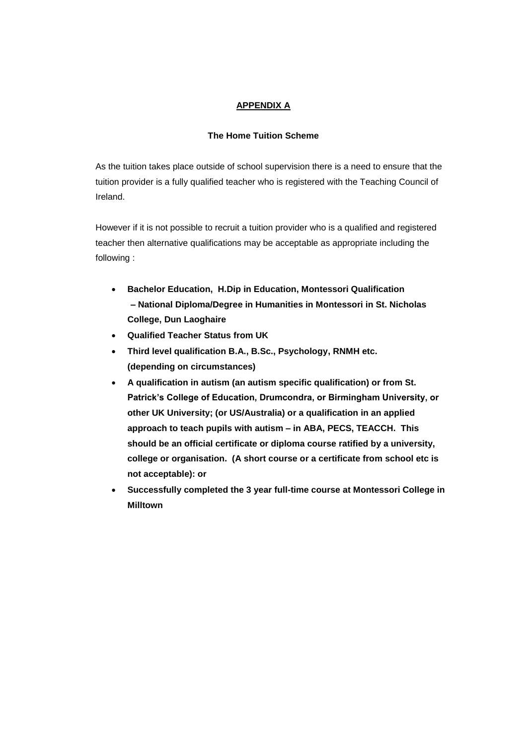# **APPENDIX A**

### **The Home Tuition Scheme**

As the tuition takes place outside of school supervision there is a need to ensure that the tuition provider is a fully qualified teacher who is registered with the Teaching Council of Ireland.

However if it is not possible to recruit a tuition provider who is a qualified and registered teacher then alternative qualifications may be acceptable as appropriate including the following :

- **Bachelor Education, H.Dip in Education, Montessori Qualification – National Diploma/Degree in Humanities in Montessori in St. Nicholas College, Dun Laoghaire**
- **Qualified Teacher Status from UK**
- **Third level qualification B.A., B.Sc., Psychology, RNMH etc. (depending on circumstances)**
- **A qualification in autism (an autism specific qualification) or from St. Patrick's College of Education, Drumcondra, or Birmingham University, or other UK University; (or US/Australia) or a qualification in an applied approach to teach pupils with autism – in ABA, PECS, TEACCH. This should be an official certificate or diploma course ratified by a university, college or organisation. (A short course or a certificate from school etc is not acceptable): or**
- **Successfully completed the 3 year full-time course at Montessori College in Milltown**